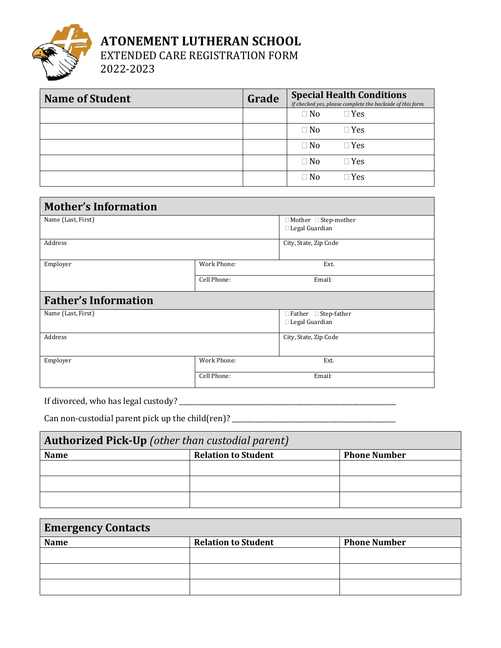

## **ATONEMENT LUTHERAN SCHOOL**

EXTENDED CARE REGISTRATION FORM

2022-2023

| <b>Name of Student</b> | Grade |           | <b>Special Health Conditions</b><br>If checked yes, please complete the backside of this form. |
|------------------------|-------|-----------|------------------------------------------------------------------------------------------------|
|                        |       | $\Box$ No | $\Box$ Yes                                                                                     |
|                        |       | $\Box$ No | $\Box$ Yes                                                                                     |
|                        |       | $\Box$ No | $\Box$ Yes                                                                                     |
|                        |       | $\Box$ No | $\Box$ Yes                                                                                     |
|                        |       | $\Box$ No | $\Box$ Yes                                                                                     |

| <b>Mother's Information</b> |             |                                                      |  |
|-----------------------------|-------------|------------------------------------------------------|--|
| Name (Last, First)          |             | $\Box$ Mother $\Box$ Step-mother<br>□ Legal Guardian |  |
| Address                     |             | City, State, Zip Code                                |  |
| Employer                    | Work Phone: | Ext.                                                 |  |
|                             | Cell Phone: | Email:                                               |  |
| <b>Father's Information</b> |             |                                                      |  |
| Name (Last, First)          |             | □ Father □ Step-father<br>□ Legal Guardian           |  |
| Address                     |             | City, State, Zip Code                                |  |
| Employer                    | Work Phone: | Ext.                                                 |  |
|                             | Cell Phone: | Email:                                               |  |

If divorced, who has legal custody? \_\_\_\_\_\_\_\_\_\_\_\_\_\_\_\_\_\_\_\_\_\_\_\_\_\_\_\_\_\_\_\_\_\_\_\_\_\_\_\_\_\_\_\_\_\_\_\_\_\_\_\_\_\_\_\_\_\_\_\_\_\_\_\_\_

Can non-custodial parent pick up the child(ren)? \_\_\_\_\_\_\_\_\_\_\_\_\_\_\_\_\_\_\_\_\_\_\_\_\_\_\_\_\_\_\_\_

| <b>Authorized Pick-Up</b> (other than custodial parent) |                            |                     |  |
|---------------------------------------------------------|----------------------------|---------------------|--|
| <b>Name</b>                                             | <b>Relation to Student</b> | <b>Phone Number</b> |  |
|                                                         |                            |                     |  |
|                                                         |                            |                     |  |
|                                                         |                            |                     |  |

| <b>Emergency Contacts</b> |                            |                     |  |
|---------------------------|----------------------------|---------------------|--|
| <b>Name</b>               | <b>Relation to Student</b> | <b>Phone Number</b> |  |
|                           |                            |                     |  |
|                           |                            |                     |  |
|                           |                            |                     |  |